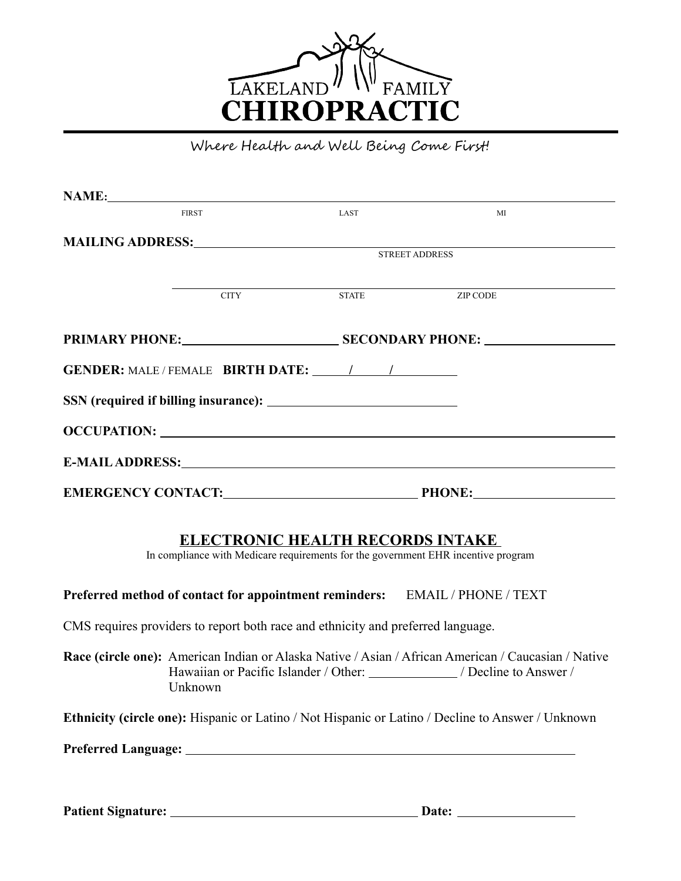

Where Health and Well Being Come First!

| NAME:                                                                                                                                                                                                                          |                |                                                                                                                      |  |  |  |
|--------------------------------------------------------------------------------------------------------------------------------------------------------------------------------------------------------------------------------|----------------|----------------------------------------------------------------------------------------------------------------------|--|--|--|
| <b>FIRST</b>                                                                                                                                                                                                                   | LAST           | MI                                                                                                                   |  |  |  |
|                                                                                                                                                                                                                                |                |                                                                                                                      |  |  |  |
|                                                                                                                                                                                                                                | STREET ADDRESS |                                                                                                                      |  |  |  |
|                                                                                                                                                                                                                                |                | <u> 1989 - Jan Samuel Barbara, margaret eta bat zen bat zen bat zen bat zen bat zen bat zen bat zen bat zen bat </u> |  |  |  |
| CITY STATE ZIP CODE                                                                                                                                                                                                            |                |                                                                                                                      |  |  |  |
|                                                                                                                                                                                                                                |                |                                                                                                                      |  |  |  |
|                                                                                                                                                                                                                                |                |                                                                                                                      |  |  |  |
|                                                                                                                                                                                                                                |                |                                                                                                                      |  |  |  |
|                                                                                                                                                                                                                                |                |                                                                                                                      |  |  |  |
| E-MAIL ADDRESS: North and the second state of the second state of the second state of the second state of the second state of the second state of the second state of the second state of the second state of the second state |                |                                                                                                                      |  |  |  |
|                                                                                                                                                                                                                                |                |                                                                                                                      |  |  |  |
| <b>ELECTRONIC HEALTH RECORDS INTAKE</b>                                                                                                                                                                                        |                |                                                                                                                      |  |  |  |

In compliance with Medicare requirements for the government EHR incentive program

**Preferred method of contact for appointment reminders:** EMAIL / PHONE / TEXT

CMS requires providers to report both race and ethnicity and preferred language.

**Race (circle one):** American Indian or Alaska Native / Asian / African American / Caucasian / Native Hawaiian or Pacific Islander / Other: \_\_\_\_\_\_\_\_\_\_\_\_\_ / Decline to Answer / Unknown

**Ethnicity (circle one):** Hispanic or Latino / Not Hispanic or Latino / Decline to Answer / Unknown

**Preferred Language:** 

Patient Signature: <u>Quartecommunications and Date:</u> Date: <u>Date:</u> 2014.

.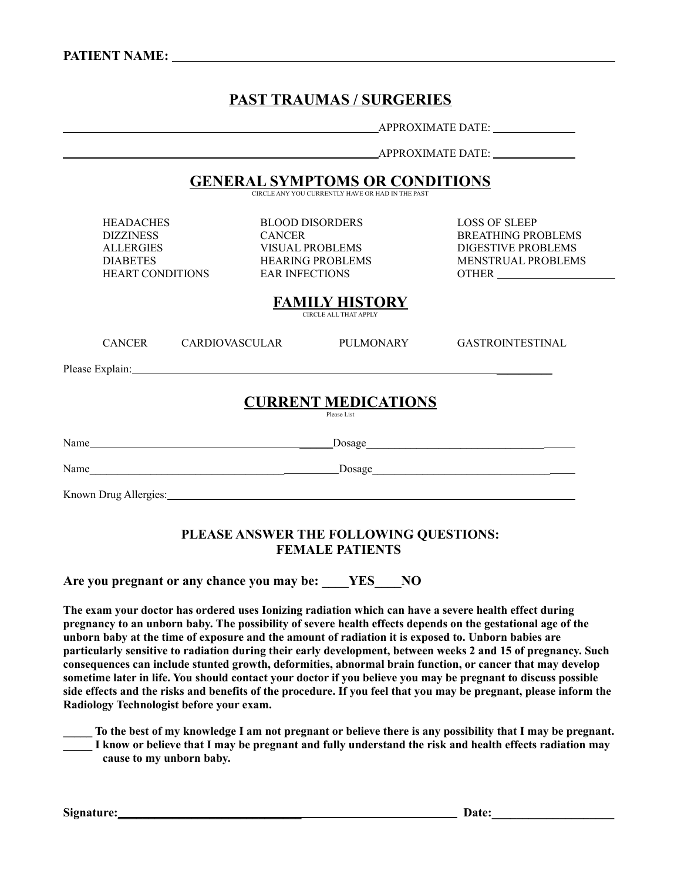# **PAST TRAUMAS / SURGERIES**

APPROXIMATE DATE:

APPROXIMATE DATE:

**GENERAL SYMPTOMS OR CONDITIONS**

CIRCLE ANY YOU CURRENTLY HAVE OR HAD IN THE PAST

HEADACHES BLOOD DISORDERS LOSS OF SLEEP

HEART CONDITIONS EAR INFECTIONS OTHER

DIZZINESS CANCER BREATHING PROBLEMS ALLERGIES VISUAL PROBLEMS DIGESTIVE PROBLEMS DIABETES HEARING PROBLEMS MENSTRUAL PROBLEMS

**FAMILY HISTORY**

CIRCLE ALL THAT APPLY

| <b>CURRENT MEDICATIONS</b><br>Please List |               |                                                                                                      |                  |                         |
|-------------------------------------------|---------------|------------------------------------------------------------------------------------------------------|------------------|-------------------------|
|                                           |               | Please Explain: 1999 and 2008 and 2010 and 2010 and 2010 and 2010 and 2010 and 2010 and 2010 and 201 |                  |                         |
|                                           | <b>CANCER</b> | CARDIOVASCULAR                                                                                       | <b>PULMONARY</b> | <b>GASTROINTESTINAL</b> |

Name \_\_\_\_\_\_Dosage\_\_\_\_\_\_\_\_\_\_\_\_\_\_\_\_\_\_\_\_\_\_\_\_\_\_\_\_\_\_\_\_

Known Drug Allergies: University of the University of the University of the University of the University of the University of the University of the University of the University of the University of the University of the Un

### **PLEASE ANSWER THE FOLLOWING QUESTIONS: FEMALE PATIENTS**

**Are you pregnant or any chance you may be: \_\_\_\_YES\_\_\_\_NO**

Name Dosage

**The exam your doctor has ordered uses Ionizing radiation which can have a severe health effect during pregnancy to an unborn baby. The possibility of severe health effects depends on the gestational age of the unborn baby at the time of exposure and the amount of radiation it is exposed to. Unborn babies are particularly sensitive to radiation during their early development, between weeks 2 and 15 of pregnancy. Such consequences can include stunted growth, deformities, abnormal brain function, or cancer that may develop sometime later in life. You should contact your doctor if you believe you may be pregnant to discuss possible side effects and the risks and benefits of the procedure. If you feel that you may be pregnant, please inform the Radiology Technologist before your exam.** 

**\_\_\_\_\_ To the best of my knowledge I am not pregnant or believe there is any possibility that I may be pregnant. \_\_\_\_\_ I know or believe that I may be pregnant and fully understand the risk and health effects radiation may cause to my unborn baby.** 

**Signature: \_\_\_\_\_\_\_\_\_\_\_\_\_\_\_\_\_\_\_\_\_\_\_\_\_\_\_\_\_\_ Date:\_\_\_\_\_\_\_\_\_\_\_\_\_\_\_\_\_\_\_\_**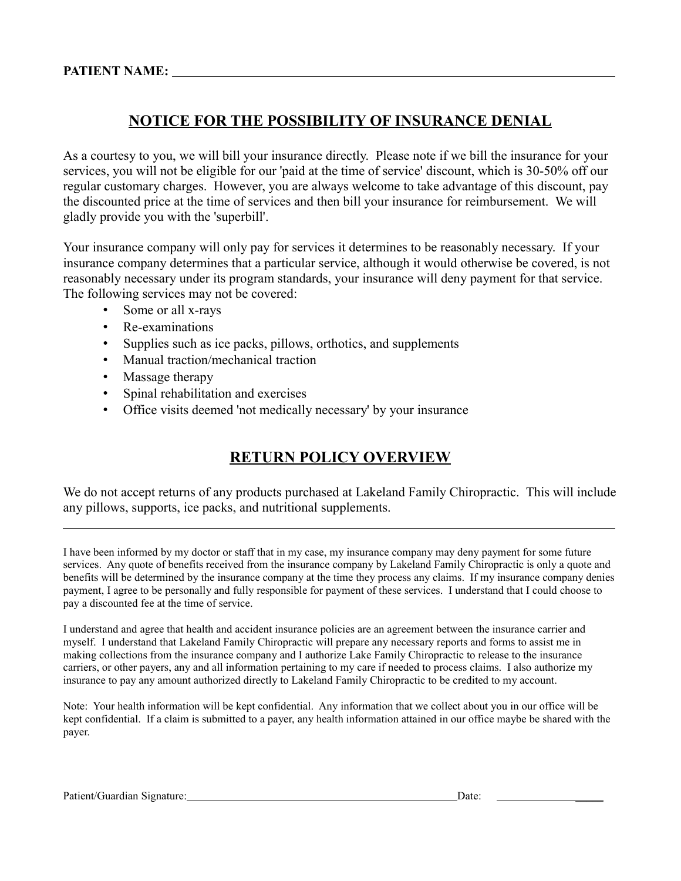## **NOTICE FOR THE POSSIBILITY OF INSURANCE DENIAL**

As a courtesy to you, we will bill your insurance directly. Please note if we bill the insurance for your services, you will not be eligible for our 'paid at the time of service' discount, which is 30-50% off our regular customary charges. However, you are always welcome to take advantage of this discount, pay the discounted price at the time of services and then bill your insurance for reimbursement. We will gladly provide you with the 'superbill'.

Your insurance company will only pay for services it determines to be reasonably necessary. If your insurance company determines that a particular service, although it would otherwise be covered, is not reasonably necessary under its program standards, your insurance will deny payment for that service. The following services may not be covered:

- Some or all x-rays
- Re-examinations
- Supplies such as ice packs, pillows, orthotics, and supplements
- Manual traction/mechanical traction
- Massage therapy
- Spinal rehabilitation and exercises
- Office visits deemed 'not medically necessary' by your insurance

# **RETURN POLICY OVERVIEW**

We do not accept returns of any products purchased at Lakeland Family Chiropractic. This will include any pillows, supports, ice packs, and nutritional supplements.

I have been informed by my doctor or staff that in my case, my insurance company may deny payment for some future services. Any quote of benefits received from the insurance company by Lakeland Family Chiropractic is only a quote and benefits will be determined by the insurance company at the time they process any claims. If my insurance company denies payment, I agree to be personally and fully responsible for payment of these services. I understand that I could choose to pay a discounted fee at the time of service.

I understand and agree that health and accident insurance policies are an agreement between the insurance carrier and myself. I understand that Lakeland Family Chiropractic will prepare any necessary reports and forms to assist me in making collections from the insurance company and I authorize Lake Family Chiropractic to release to the insurance carriers, or other payers, any and all information pertaining to my care if needed to process claims. I also authorize my insurance to pay any amount authorized directly to Lakeland Family Chiropractic to be credited to my account.

Note: Your health information will be kept confidential. Any information that we collect about you in our office will be kept confidential. If a claim is submitted to a payer, any health information attained in our office maybe be shared with the payer.

 $\overline{a}$